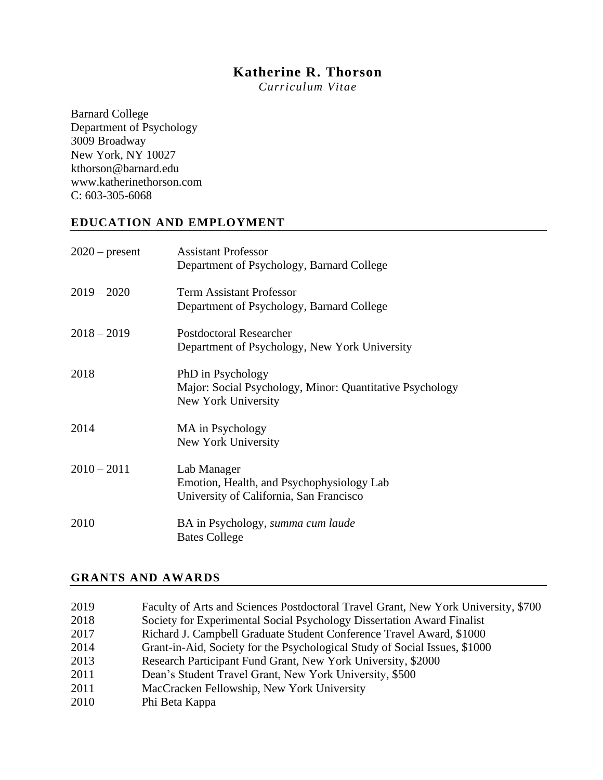# **Katherine R. Thorson**

*Curriculum Vitae*

Barnard College Department of Psychology 3009 Broadway New York, NY 10027 kthorson@barnard.edu www.katherinethorson.com C: 603-305-6068

## **EDUCATION AND EMPLOYMENT**

| $2020$ – present | <b>Assistant Professor</b><br>Department of Psychology, Barnard College                              |
|------------------|------------------------------------------------------------------------------------------------------|
| $2019 - 2020$    | <b>Term Assistant Professor</b><br>Department of Psychology, Barnard College                         |
| $2018 - 2019$    | <b>Postdoctoral Researcher</b><br>Department of Psychology, New York University                      |
| 2018             | PhD in Psychology<br>Major: Social Psychology, Minor: Quantitative Psychology<br>New York University |
| 2014             | MA in Psychology<br>New York University                                                              |
| $2010 - 2011$    | Lab Manager<br>Emotion, Health, and Psychophysiology Lab<br>University of California, San Francisco  |
| 2010             | BA in Psychology, summa cum laude<br><b>Bates College</b>                                            |

### **GRANTS AND AWARDS**

| 2019 | Faculty of Arts and Sciences Postdoctoral Travel Grant, New York University, \$700 |
|------|------------------------------------------------------------------------------------|
| 2018 | Society for Experimental Social Psychology Dissertation Award Finalist             |
| 2017 | Richard J. Campbell Graduate Student Conference Travel Award, \$1000               |
| 2014 | Grant-in-Aid, Society for the Psychological Study of Social Issues, \$1000         |
| 2013 | Research Participant Fund Grant, New York University, \$2000                       |
| 2011 | Dean's Student Travel Grant, New York University, \$500                            |
| 2011 | MacCracken Fellowship, New York University                                         |
| 2010 | Phi Beta Kappa                                                                     |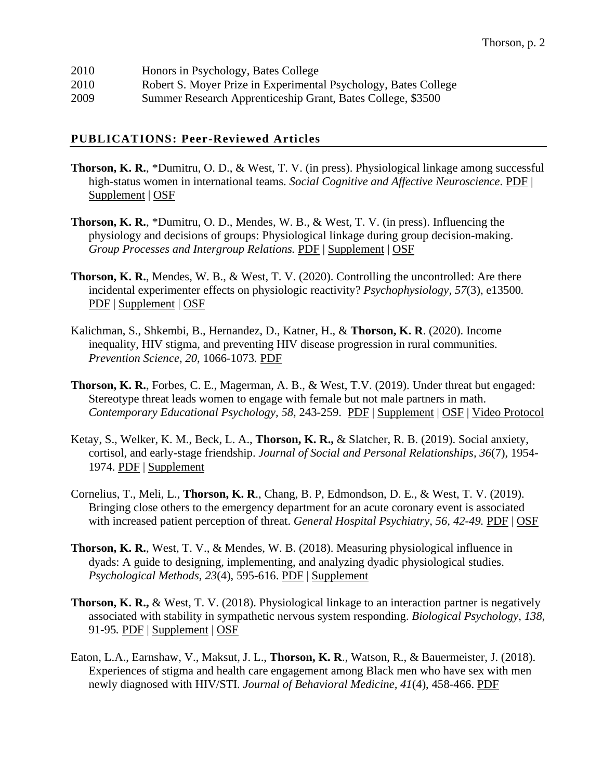| 2010 | Honors in Psychology, Bates College                             |
|------|-----------------------------------------------------------------|
| 2010 | Robert S. Moyer Prize in Experimental Psychology, Bates College |
| 2009 | Summer Research Apprenticeship Grant, Bates College, \$3500     |

#### **PUBLICATIONS: Peer-Reviewed Articles**

- **Thorson, K. R.**, \*Dumitru, O. D., & West, T. V. (in press). Physiological linkage among successful high-status women in international teams. *Social Cognitive and Affective Neuroscience.* [PDF](https://6bc772e3-38d9-4695-9fce-9ea77ec49029.filesusr.com/ugd/f91562_b54b4880243c4b41b7804745486e48e9.pdf) | [Supplement](https://6bc772e3-38d9-4695-9fce-9ea77ec49029.filesusr.com/ugd/f91562_5fe768ca6d76462b969f10223e4203d6.pdf) | [OSF](https://osf.io/f75ej/)
- **Thorson, K. R.**, \*Dumitru, O. D., Mendes, W. B., & West, T. V. (in press). Influencing the physiology and decisions of groups: Physiological linkage during group decision-making. *Group Processes and Intergroup Relations.* [PDF](https://6bc772e3-38d9-4695-9fce-9ea77ec49029.filesusr.com/ugd/f91562_3ded6fb4d5c04359ba78aeba9ac3ebdf.pdf) | [Supplement](https://6bc772e3-38d9-4695-9fce-9ea77ec49029.filesusr.com/ugd/f91562_cb6967416b474bceb4932ef867e75f2c.pdf) | [OSF](https://osf.io/xu6ep/)
- **Thorson, K. R.**, Mendes, W. B., & West, T. V. (2020). Controlling the uncontrolled: Are there incidental experimenter effects on physiologic reactivity? *Psychophysiology, 57*(3), e13500*.*  [PDF](https://6bc772e3-38d9-4695-9fce-9ea77ec49029.filesusr.com/ugd/f91562_f9aa902ad35c4dedbd999ead5e216870.pdf) | [Supplement](https://docs.wixstatic.com/ugd/f91562_6e113e8e9ab44660bd45b580832e0e4d.pdf) | [OSF](https://osf.io/egqvk/)
- Kalichman, S., Shkembi, B., Hernandez, D., Katner, H., & **Thorson, K. R**. (2020). Income inequality, HIV stigma, and preventing HIV disease progression in rural communities. *Prevention Science*, *20*, 1066-1073*.* [PDF](https://6bc772e3-38d9-4695-9fce-9ea77ec49029.filesusr.com/ugd/f91562_79f872f03e564c37b539f164edf9dbee.pdf)
- **Thorson, K. R.**, Forbes, C. E., Magerman, A. B., & West, T.V. (2019). Under threat but engaged: Stereotype threat leads women to engage with female but not male partners in math. *Contemporary Educational Psychology, 58*, 243-259. [PDF](https://docs.wixstatic.com/ugd/f91562_03ee722d0c8e4c0886875d41c894010e.pdf) | [Supplement](https://docs.wixstatic.com/ugd/f91562_65a8432f344d40de992979637bff17fe.pdf) | [OSF](https://osf.io/gpw4j/) | [Video Protocol](https://youtu.be/mFakTnx5vuY)
- Ketay, S., Welker, K. M., Beck, L. A., **Thorson, K. R.,** & Slatcher, R. B. (2019). Social anxiety, cortisol, and early-stage friendship. *Journal of Social and Personal Relationships, 36*(7), 1954- 1974. [PDF](https://docs.wixstatic.com/ugd/f91562_501066f697524866ae1d834b60f8d03f.pdf) | [Supplement](https://docs.wixstatic.com/ugd/f91562_b36360d3d4214fab9296de20ced749e7.pdf)
- Cornelius, T., Meli, L., **Thorson, K. R**., Chang, B. P, Edmondson, D. E., & West, T. V. (2019). Bringing close others to the emergency department for an acute coronary event is associated with increased patient perception of threat. *General Hospital Psychiatry, 56, 42-49.* [PDF](https://docs.wixstatic.com/ugd/f91562_ac31121041604e8bb49f28fb3fadd0b9.pdf) | [OSF](https://osf.io/cqd3w/)
- **Thorson, K. R.**, West, T. V., & Mendes, W. B. (2018). Measuring physiological influence in dyads: A guide to designing, implementing, and analyzing dyadic physiological studies. *Psychological Methods, 23*(4), 595-616. [PDF](https://docs.wixstatic.com/ugd/f91562_9bb7c07578734b26a743ca9a22b689a7.pdf) | [Supplement](https://docs.wixstatic.com/ugd/f91562_ad1eb9e331aa4c6086d4c75c6c741021.pdf)
- **Thorson, K. R.,** & West, T. V. (2018). Physiological linkage to an interaction partner is negatively associated with stability in sympathetic nervous system responding. *Biological Psychology, 138*, 91-95*.* [PDF](https://docs.wixstatic.com/ugd/f91562_7468d57d43a64886b3040b55999fc4e7.pdf) | [Supplement](https://docs.wixstatic.com/ugd/f91562_84a0fc9eaaef421ebf7d8ad3439ad8f6.pdf) | [OSF](https://osf.io/6s87a/)
- Eaton, L.A., Earnshaw, V., Maksut, J. L., **Thorson, K. R**., Watson, R., & Bauermeister, J. (2018). Experiences of stigma and health care engagement among Black men who have sex with men newly diagnosed with HIV/STI. *Journal of Behavioral Medicine, 41*(4), 458-466. [PDF](https://docs.wixstatic.com/ugd/f91562_2a4577162f3d419984590f462a3ae678.pdf)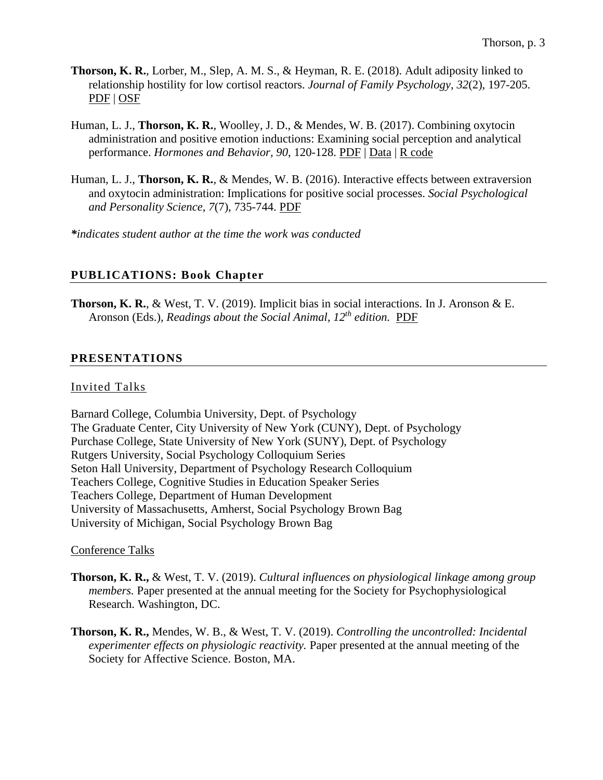- **Thorson, K. R.**, Lorber, M., Slep, A. M. S., & Heyman, R. E. (2018). Adult adiposity linked to relationship hostility for low cortisol reactors. *Journal of Family Psychology, 32*(2), 197-205. [PDF](https://docs.wixstatic.com/ugd/f91562_c20204ce669e4378bd1b3b3618c4099a.pdf) | [OSF](https://osf.io/zq6tr/)
- Human, L. J., **Thorson, K. R.**, Woolley, J. D., & Mendes, W. B. (2017). Combining oxytocin administration and positive emotion inductions: Examining social perception and analytical performance. *Hormones and Behavior, 90*, 120-128. [PDF](https://docs.wixstatic.com/ugd/f91562_76d964dd2806491d85132799580c33e3.pdf) | [Data](https://drive.google.com/file/d/0BxjaLu4BlSNqYnpweGZ1clNDSFU/view?usp=sharing) | R [code](https://drive.google.com/file/d/0BxjaLu4BlSNqWmNwX1hxdDlqRzQ/view?usp=sharing)
- Human, L. J., **Thorson, K. R.**, & Mendes, W. B. (2016). Interactive effects between extraversion and oxytocin administration: Implications for positive social processes. *Social Psychological and Personality Science, 7*(7), 735-744. [PDF](https://docs.wixstatic.com/ugd/f91562_02c4411aab404b82bc56b955776fd5ab.pdf)

*\*indicates student author at the time the work was conducted*

### **PUBLICATIONS: Book Chapter**

**Thorson, K. R.**, & West, T. V. (2019). Implicit bias in social interactions. In J. Aronson & E. Aronson (Eds.), *Readings about the Social Animal, 12th edition.* [PDF](https://docs.wixstatic.com/ugd/f91562_48c461c325af4952bc311845a9cc6831.pdf)

### **PRESENTATIONS**

### Invited Talks

Barnard College, Columbia University, Dept. of Psychology The Graduate Center, City University of New York (CUNY), Dept. of Psychology Purchase College, State University of New York (SUNY), Dept. of Psychology Rutgers University, Social Psychology Colloquium Series Seton Hall University, Department of Psychology Research Colloquium Teachers College, Cognitive Studies in Education Speaker Series Teachers College, Department of Human Development University of Massachusetts, Amherst, Social Psychology Brown Bag University of Michigan, Social Psychology Brown Bag

### Conference Talks

- **Thorson, K. R.,** & West, T. V. (2019). *Cultural influences on physiological linkage among group members.* Paper presented at the annual meeting for the Society for Psychophysiological Research. Washington, DC.
- **Thorson, K. R.,** Mendes, W. B., & West, T. V. (2019). *Controlling the uncontrolled: Incidental experimenter effects on physiologic reactivity.* Paper presented at the annual meeting of the Society for Affective Science. Boston, MA.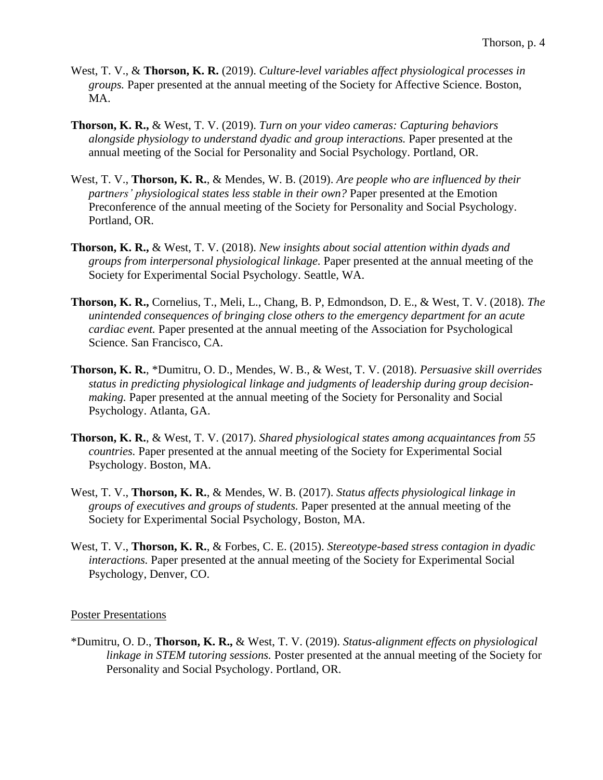- West, T. V., & **Thorson, K. R.** (2019). *Culture-level variables affect physiological processes in groups.* Paper presented at the annual meeting of the Society for Affective Science. Boston, MA.
- **Thorson, K. R.,** & West, T. V. (2019). *Turn on your video cameras: Capturing behaviors alongside physiology to understand dyadic and group interactions.* Paper presented at the annual meeting of the Social for Personality and Social Psychology. Portland, OR.
- West, T. V., **Thorson, K. R.**, & Mendes, W. B. (2019). *Are people who are influenced by their partners' physiological states less stable in their own?* Paper presented at the Emotion Preconference of the annual meeting of the Society for Personality and Social Psychology. Portland, OR.
- **Thorson, K. R.,** & West, T. V. (2018). *New insights about social attention within dyads and groups from interpersonal physiological linkage.* Paper presented at the annual meeting of the Society for Experimental Social Psychology. Seattle, WA.
- **Thorson, K. R.,** Cornelius, T., Meli, L., Chang, B. P, Edmondson, D. E., & West, T. V. (2018). *The unintended consequences of bringing close others to the emergency department for an acute cardiac event.* Paper presented at the annual meeting of the Association for Psychological Science. San Francisco, CA.
- **Thorson, K. R.**, \*Dumitru, O. D., Mendes, W. B., & West, T. V. (2018). *Persuasive skill overrides status in predicting physiological linkage and judgments of leadership during group decisionmaking.* Paper presented at the annual meeting of the Society for Personality and Social Psychology. Atlanta, GA.
- **Thorson, K. R.**, & West, T. V. (2017). *Shared physiological states among acquaintances from 55 countries.* Paper presented at the annual meeting of the Society for Experimental Social Psychology. Boston, MA.
- West, T. V., **Thorson, K. R.**, & Mendes, W. B. (2017). *Status affects physiological linkage in groups of executives and groups of students.* Paper presented at the annual meeting of the Society for Experimental Social Psychology, Boston, MA.
- West, T. V., **Thorson, K. R.**, & Forbes, C. E. (2015). *Stereotype-based stress contagion in dyadic interactions.* Paper presented at the annual meeting of the Society for Experimental Social Psychology, Denver, CO.

### Poster Presentations

\*Dumitru, O. D., **Thorson, K. R.,** & West, T. V. (2019). *Status-alignment effects on physiological linkage in STEM tutoring sessions.* Poster presented at the annual meeting of the Society for Personality and Social Psychology. Portland, OR.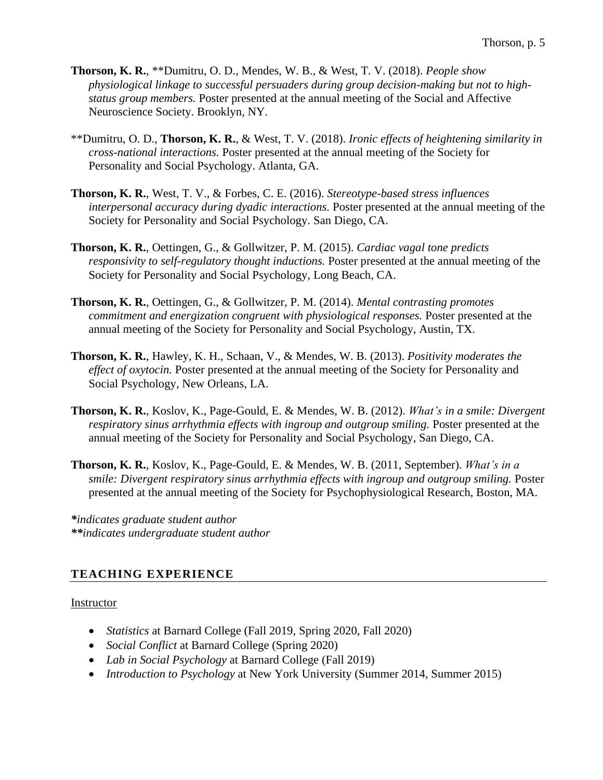- **Thorson, K. R.**, \*\*Dumitru, O. D., Mendes, W. B., & West, T. V. (2018). *People show physiological linkage to successful persuaders during group decision-making but not to highstatus group members.* Poster presented at the annual meeting of the Social and Affective Neuroscience Society. Brooklyn, NY.
- \*\*Dumitru, O. D., **Thorson, K. R.**, & West, T. V. (2018). *Ironic effects of heightening similarity in cross-national interactions.* Poster presented at the annual meeting of the Society for Personality and Social Psychology. Atlanta, GA.
- **Thorson, K. R.**, West, T. V., & Forbes, C. E. (2016). *Stereotype-based stress influences interpersonal accuracy during dyadic interactions.* Poster presented at the annual meeting of the Society for Personality and Social Psychology. San Diego, CA.
- **Thorson, K. R.**, Oettingen, G., & Gollwitzer, P. M. (2015). *Cardiac vagal tone predicts responsivity to self-regulatory thought inductions.* Poster presented at the annual meeting of the Society for Personality and Social Psychology, Long Beach, CA.
- **Thorson, K. R.**, Oettingen, G., & Gollwitzer, P. M. (2014). *Mental contrasting promotes commitment and energization congruent with physiological responses.* Poster presented at the annual meeting of the Society for Personality and Social Psychology, Austin, TX.
- **Thorson, K. R.**, Hawley, K. H., Schaan, V., & Mendes, W. B. (2013). *Positivity moderates the effect of oxytocin.* Poster presented at the annual meeting of the Society for Personality and Social Psychology, New Orleans, LA.
- **Thorson, K. R.**, Koslov, K., Page-Gould, E. & Mendes, W. B. (2012). *What's in a smile: Divergent respiratory sinus arrhythmia effects with ingroup and outgroup smiling.* Poster presented at the annual meeting of the Society for Personality and Social Psychology, San Diego, CA.
- **Thorson, K. R.**, Koslov, K., Page-Gould, E. & Mendes, W. B. (2011, September). *What's in a smile: Divergent respiratory sinus arrhythmia effects with ingroup and outgroup smiling.* Poster presented at the annual meeting of the Society for Psychophysiological Research, Boston, MA.

*\*indicates graduate student author \*\*indicates undergraduate student author*

# **TEACHING EXPERIENCE**

## Instructor

- *Statistics* at Barnard College (Fall 2019, Spring 2020, Fall 2020)
- *Social Conflict* at Barnard College (Spring 2020)
- *Lab in Social Psychology* at Barnard College (Fall 2019)
- *Introduction to Psychology* at New York University (Summer 2014, Summer 2015)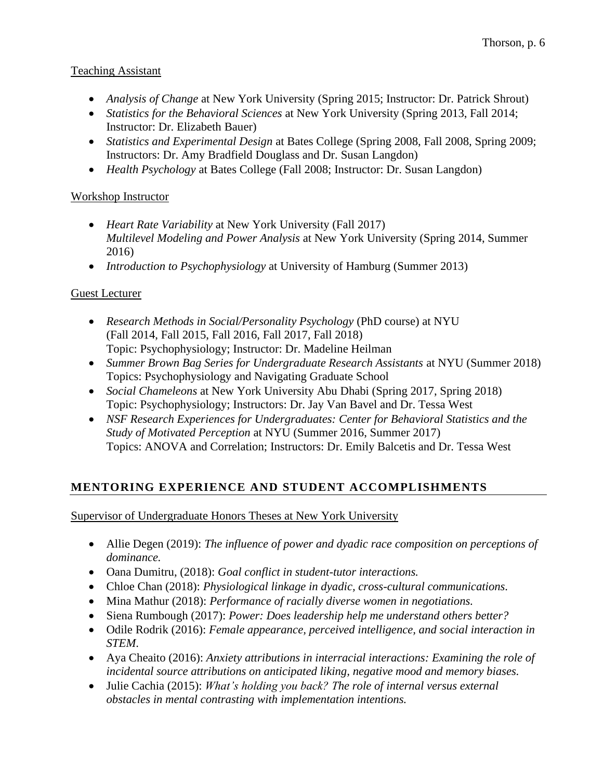# Teaching Assistant

- *Analysis of Change* at New York University (Spring 2015; Instructor: Dr. Patrick Shrout)
- *Statistics for the Behavioral Sciences* at New York University (Spring 2013, Fall 2014; Instructor: Dr. Elizabeth Bauer)
- *Statistics and Experimental Design* at Bates College (Spring 2008, Fall 2008, Spring 2009; Instructors: Dr. Amy Bradfield Douglass and Dr. Susan Langdon)
- *Health Psychology* at Bates College (Fall 2008; Instructor: Dr. Susan Langdon)

# Workshop Instructor

- *Heart Rate Variability* at New York University (Fall 2017) *Multilevel Modeling and Power Analysis* at New York University (Spring 2014, Summer 2016)
- *Introduction to Psychophysiology* at University of Hamburg (Summer 2013)

# Guest Lecturer

- *Research Methods in Social/Personality Psychology* (PhD course) at NYU (Fall 2014, Fall 2015, Fall 2016, Fall 2017, Fall 2018) Topic: Psychophysiology; Instructor: Dr. Madeline Heilman
- *Summer Brown Bag Series for Undergraduate Research Assistants* at NYU (Summer 2018) Topics: Psychophysiology and Navigating Graduate School
- *Social Chameleons* at New York University Abu Dhabi (Spring 2017, Spring 2018) Topic: Psychophysiology; Instructors: Dr. Jay Van Bavel and Dr. Tessa West
- *NSF Research Experiences for Undergraduates: Center for Behavioral Statistics and the Study of Motivated Perception* at NYU (Summer 2016, Summer 2017) Topics: ANOVA and Correlation; Instructors: Dr. Emily Balcetis and Dr. Tessa West

# **MENTORING EXPERIENCE AND STUDENT ACCOMPLISHMENTS**

Supervisor of Undergraduate Honors Theses at New York University

- Allie Degen (2019): *The influence of power and dyadic race composition on perceptions of dominance.*
- Oana Dumitru, (2018): *Goal conflict in student-tutor interactions.*
- Chloe Chan (2018): *Physiological linkage in dyadic, cross-cultural communications.*
- Mina Mathur (2018): *Performance of racially diverse women in negotiations.*
- Siena Rumbough (2017): *Power: Does leadership help me understand others better?*
- Odile Rodrik (2016): *Female appearance, perceived intelligence, and social interaction in STEM*.
- Aya Cheaito (2016): *Anxiety attributions in interracial interactions: Examining the role of incidental source attributions on anticipated liking, negative mood and memory biases.*
- Julie Cachia (2015): *What's holding you back? The role of internal versus external obstacles in mental contrasting with implementation intentions.*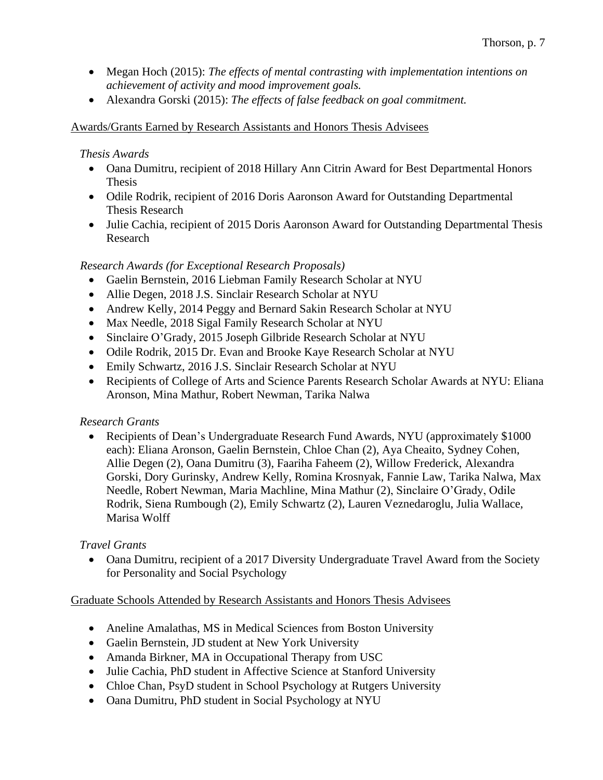- Megan Hoch (2015): *The effects of mental contrasting with implementation intentions on achievement of activity and mood improvement goals.*
- Alexandra Gorski (2015): *The effects of false feedback on goal commitment.*

## Awards/Grants Earned by Research Assistants and Honors Thesis Advisees

### *Thesis Awards*

- Oana Dumitru, recipient of 2018 Hillary Ann Citrin Award for Best Departmental Honors Thesis
- Odile Rodrik, recipient of 2016 Doris Aaronson Award for Outstanding Departmental Thesis Research
- Julie Cachia, recipient of 2015 Doris Aaronson Award for Outstanding Departmental Thesis Research

## *Research Awards (for Exceptional Research Proposals)*

- Gaelin Bernstein, 2016 Liebman Family Research Scholar at NYU
- Allie Degen, 2018 J.S. Sinclair Research Scholar at NYU
- Andrew Kelly, 2014 Peggy and Bernard Sakin Research Scholar at NYU
- Max Needle, 2018 Sigal Family Research Scholar at NYU
- Sinclaire O'Grady, 2015 Joseph Gilbride Research Scholar at NYU
- Odile Rodrik, 2015 Dr. Evan and Brooke Kaye Research Scholar at NYU
- Emily Schwartz, 2016 J.S. Sinclair Research Scholar at NYU
- Recipients of College of Arts and Science Parents Research Scholar Awards at NYU: Eliana Aronson, Mina Mathur, Robert Newman, Tarika Nalwa

## *Research Grants*

• Recipients of Dean's Undergraduate Research Fund Awards, NYU (approximately \$1000) each): Eliana Aronson, Gaelin Bernstein, Chloe Chan (2), Aya Cheaito, Sydney Cohen, Allie Degen (2), Oana Dumitru (3), Faariha Faheem (2), Willow Frederick, Alexandra Gorski, Dory Gurinsky, Andrew Kelly, Romina Krosnyak, Fannie Law, Tarika Nalwa, Max Needle, Robert Newman, Maria Machline, Mina Mathur (2), Sinclaire O'Grady, Odile Rodrik, Siena Rumbough (2), Emily Schwartz (2), Lauren Veznedaroglu, Julia Wallace, Marisa Wolff

## *Travel Grants*

• Oana Dumitru, recipient of a 2017 Diversity Undergraduate Travel Award from the Society for Personality and Social Psychology

## Graduate Schools Attended by Research Assistants and Honors Thesis Advisees

- Aneline Amalathas, MS in Medical Sciences from Boston University
- Gaelin Bernstein, JD student at New York University
- Amanda Birkner, MA in Occupational Therapy from USC
- Julie Cachia, PhD student in Affective Science at Stanford University
- Chloe Chan, PsyD student in School Psychology at Rutgers University
- Oana Dumitru, PhD student in Social Psychology at NYU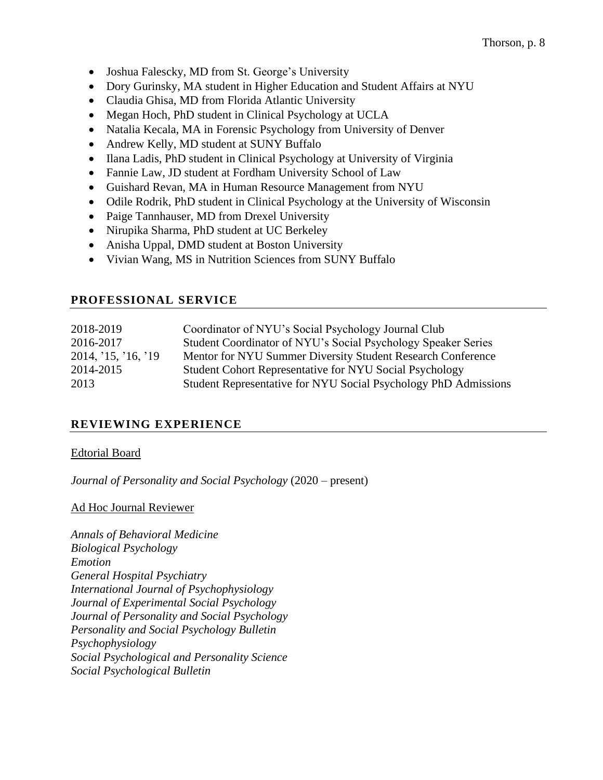- Joshua Falescky, MD from St. George's University
- Dory Gurinsky, MA student in Higher Education and Student Affairs at NYU
- Claudia Ghisa, MD from Florida Atlantic University
- Megan Hoch, PhD student in Clinical Psychology at UCLA
- Natalia Kecala, MA in Forensic Psychology from University of Denver
- Andrew Kelly, MD student at SUNY Buffalo
- Ilana Ladis, PhD student in Clinical Psychology at University of Virginia
- Fannie Law, JD student at Fordham University School of Law
- Guishard Revan, MA in Human Resource Management from NYU
- Odile Rodrik, PhD student in Clinical Psychology at the University of Wisconsin
- Paige Tannhauser, MD from Drexel University
- Nirupika Sharma, PhD student at UC Berkeley
- Anisha Uppal, DMD student at Boston University
- Vivian Wang, MS in Nutrition Sciences from SUNY Buffalo

## **PROFESSIONAL SERVICE**

| 2018-2019           | Coordinator of NYU's Social Psychology Journal Club             |
|---------------------|-----------------------------------------------------------------|
| 2016-2017           | Student Coordinator of NYU's Social Psychology Speaker Series   |
| 2014, '15, '16, '19 | Mentor for NYU Summer Diversity Student Research Conference     |
| 2014-2015           | <b>Student Cohort Representative for NYU Social Psychology</b>  |
| 2013                | Student Representative for NYU Social Psychology PhD Admissions |
|                     |                                                                 |

# **REVIEWING EXPERIENCE**

## Edtorial Board

*Journal of Personality and Social Psychology* (2020 – present)

## Ad Hoc Journal Reviewer

*Annals of Behavioral Medicine Biological Psychology Emotion General Hospital Psychiatry International Journal of Psychophysiology Journal of Experimental Social Psychology Journal of Personality and Social Psychology Personality and Social Psychology Bulletin Psychophysiology Social Psychological and Personality Science Social Psychological Bulletin*